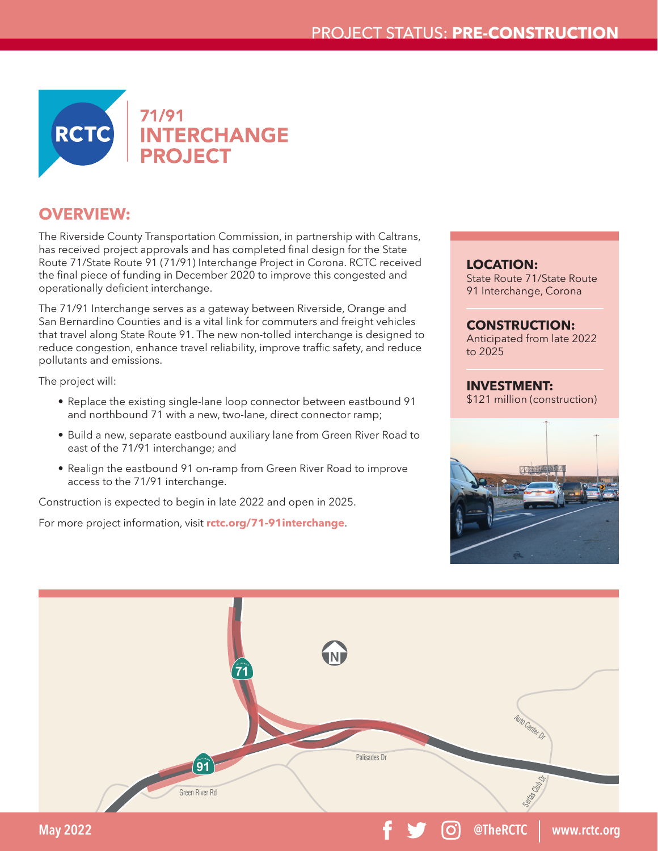

## **OVERVIEW:**

The Riverside County Transportation Commission, in partnership with Caltrans, has received project approvals and has completed final design for the State Route 71/State Route 91 (71/91) Interchange Project in Corona. RCTC received the final piece of funding in December 2020 to improve this congested and operationally deficient interchange.

The 71/91 Interchange serves as a gateway between Riverside, Orange and San Bernardino Counties and is a vital link for commuters and freight vehicles that travel along State Route 91. The new non-tolled interchange is designed to reduce congestion, enhance travel reliability, improve traffic safety, and reduce pollutants and emissions.

The project will:

- Replace the existing single-lane loop connector between eastbound 91 and northbound 71 with a new, two-lane, direct connector ramp;
- Build a new, separate eastbound auxiliary lane from Green River Road to east of the 71/91 interchange; and
- Realign the eastbound 91 on-ramp from Green River Road to improve access to the 71/91 interchange.

Construction is expected to begin in late 2022 and open in 2025.

For more project information, visit **rctc.org/71-91interchange**.

**LOCATION:** State Route 71/State Route 91 Interchange, Corona

**CONSTRUCTION:** Anticipated from late 2022

to 2025

**INVESTMENT:** \$121 million (construction)



**@TheRCTC www.rctc.org**